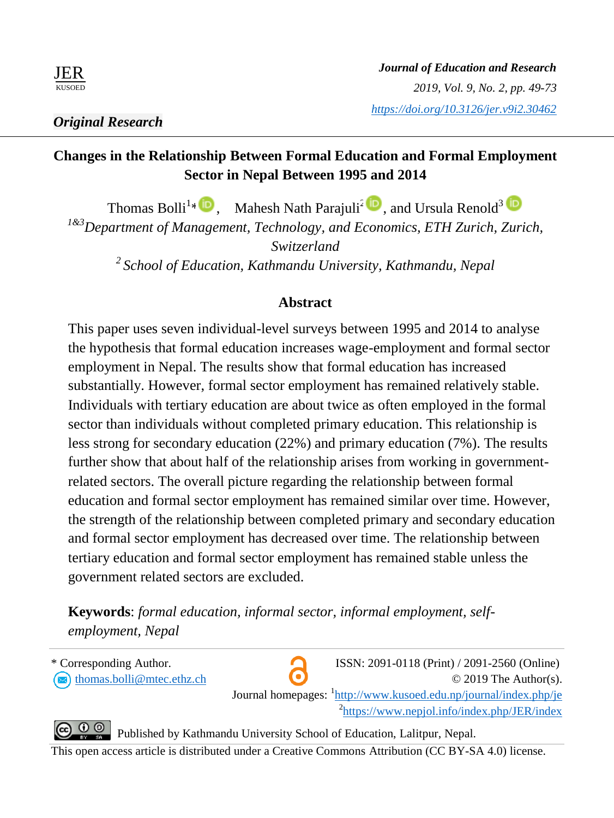

# **Changes in the Relationship Between Formal Education and Formal Employment Sector in Nepal Between 1995 and 2014**

Thomas Bolli<sup>1</sup><sup>\*</sup>  $\mathbb{D}$ , Mahesh Nath Parajuli<sup>2</sup>  $\mathbb{D}$ , and Ursula Renold<sup>3</sup> *1&3Department of Management, Technology, and Economics, ETH Zurich, Zurich, Switzerland <sup>2</sup>School of Education, Kathmandu University, Kathmandu, Nepal*

# **Abstract**

This paper uses seven individual-level surveys between 1995 and 2014 to analyse the hypothesis that formal education increases wage-employment and formal sector employment in Nepal. The results show that formal education has increased substantially. However, formal sector employment has remained relatively stable. Individuals with tertiary education are about twice as often employed in the formal sector than individuals without completed primary education. This relationship is less strong for secondary education (22%) and primary education (7%). The results further show that about half of the relationship arises from working in governmentrelated sectors. The overall picture regarding the relationship between formal education and formal sector employment has remained similar over time. However, the strength of the relationship between completed primary and secondary education and formal sector employment has decreased over time. The relationship between tertiary education and formal sector employment has remained stable unless the government related sectors are excluded.

**Keywords**: *formal education, informal sector, informal employment, selfemployment, Nepal*



Published by Kathmandu University School of Education, Lalitpur, Nepal.

This open access article is distributed under a Creative Commons Attribution (CC BY-SA 4.0) license.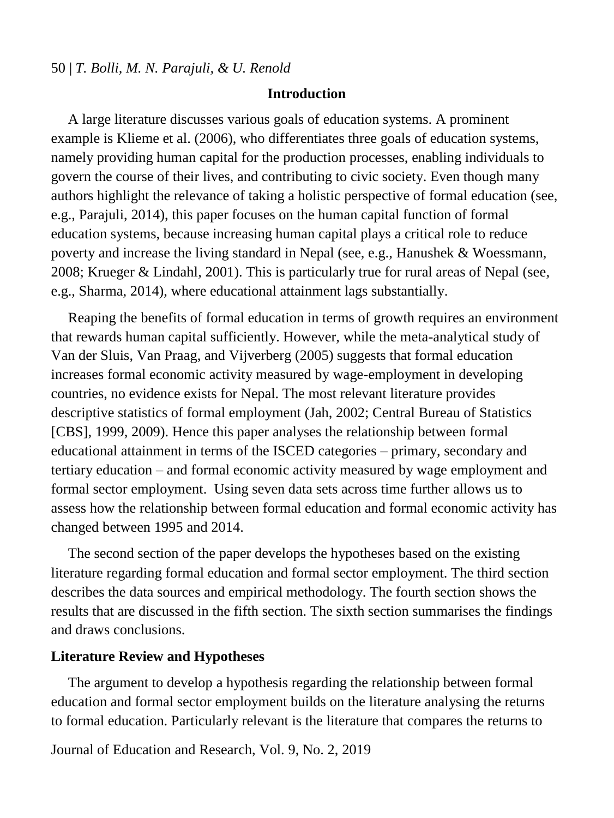#### **Introduction**

A large literature discusses various goals of education systems. A prominent example is Klieme et al. (2006), who differentiates three goals of education systems, namely providing human capital for the production processes, enabling individuals to govern the course of their lives, and contributing to civic society. Even though many authors highlight the relevance of taking a holistic perspective of formal education (see, e.g., Parajuli, 2014), this paper focuses on the human capital function of formal education systems, because increasing human capital plays a critical role to reduce poverty and increase the living standard in Nepal (see, e.g., Hanushek & Woessmann, 2008; Krueger & Lindahl, 2001). This is particularly true for rural areas of Nepal (see, e.g., Sharma, 2014), where educational attainment lags substantially.

Reaping the benefits of formal education in terms of growth requires an environment that rewards human capital sufficiently. However, while the meta-analytical study of Van der Sluis, Van Praag, and Vijverberg (2005) suggests that formal education increases formal economic activity measured by wage-employment in developing countries, no evidence exists for Nepal. The most relevant literature provides descriptive statistics of formal employment (Jah, 2002; Central Bureau of Statistics [CBS], 1999, 2009). Hence this paper analyses the relationship between formal educational attainment in terms of the ISCED categories – primary, secondary and tertiary education – and formal economic activity measured by wage employment and formal sector employment. Using seven data sets across time further allows us to assess how the relationship between formal education and formal economic activity has changed between 1995 and 2014.

The second section of the paper develops the hypotheses based on the existing literature regarding formal education and formal sector employment. The third section describes the data sources and empirical methodology. The fourth section shows the results that are discussed in the fifth section. The sixth section summarises the findings and draws conclusions.

#### **Literature Review and Hypotheses**

The argument to develop a hypothesis regarding the relationship between formal education and formal sector employment builds on the literature analysing the returns to formal education. Particularly relevant is the literature that compares the returns to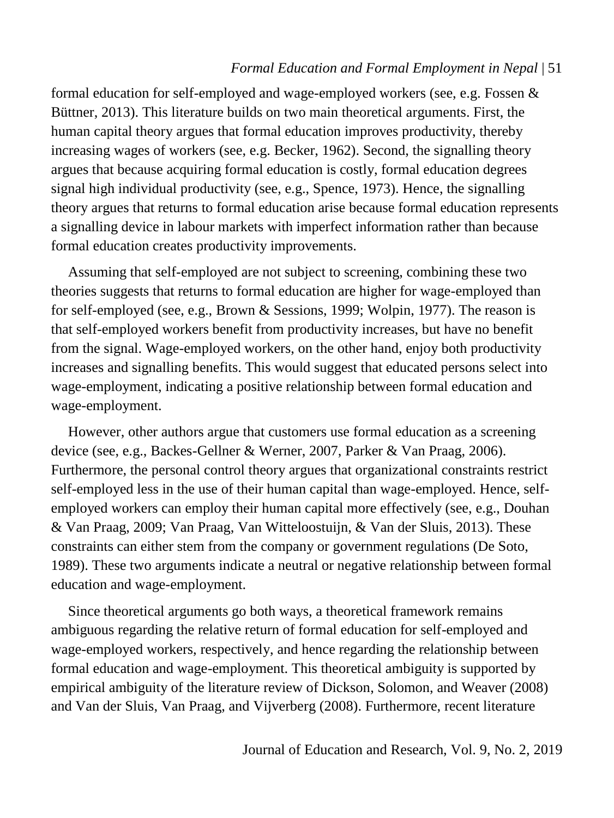formal education for self-employed and wage-employed workers (see, e.g. Fossen & Büttner, 2013). This literature builds on two main theoretical arguments. First, the human capital theory argues that formal education improves productivity, thereby increasing wages of workers (see, e.g. Becker, 1962). Second, the signalling theory argues that because acquiring formal education is costly, formal education degrees signal high individual productivity (see, e.g., Spence, 1973). Hence, the signalling theory argues that returns to formal education arise because formal education represents a signalling device in labour markets with imperfect information rather than because formal education creates productivity improvements.

Assuming that self-employed are not subject to screening, combining these two theories suggests that returns to formal education are higher for wage-employed than for self-employed (see, e.g., Brown & Sessions, 1999; Wolpin, 1977). The reason is that self-employed workers benefit from productivity increases, but have no benefit from the signal. Wage-employed workers, on the other hand, enjoy both productivity increases and signalling benefits. This would suggest that educated persons select into wage-employment, indicating a positive relationship between formal education and wage-employment.

However, other authors argue that customers use formal education as a screening device (see, e.g., Backes-Gellner & Werner, 2007, Parker & Van Praag, 2006). Furthermore, the personal control theory argues that organizational constraints restrict self-employed less in the use of their human capital than wage-employed. Hence, selfemployed workers can employ their human capital more effectively (see, e.g., Douhan & Van Praag, 2009; Van Praag, Van Witteloostuijn, & Van der Sluis, 2013). These constraints can either stem from the company or government regulations (De Soto, 1989). These two arguments indicate a neutral or negative relationship between formal education and wage-employment.

Since theoretical arguments go both ways, a theoretical framework remains ambiguous regarding the relative return of formal education for self-employed and wage-employed workers, respectively, and hence regarding the relationship between formal education and wage-employment. This theoretical ambiguity is supported by empirical ambiguity of the literature review of Dickson, Solomon, and Weaver (2008) and Van der Sluis, Van Praag, and Vijverberg (2008). Furthermore, recent literature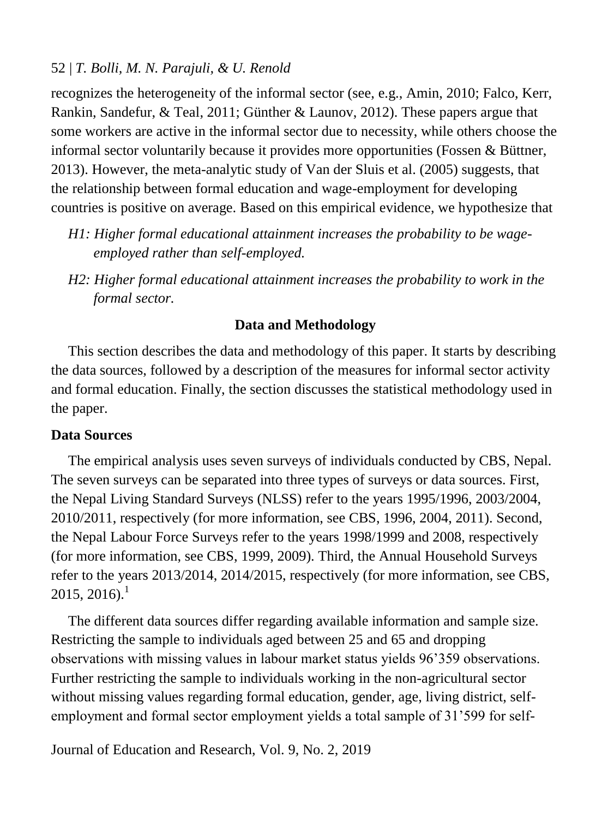recognizes the heterogeneity of the informal sector (see, e.g., Amin, 2010; Falco, Kerr, Rankin, Sandefur, & Teal, 2011; Günther & Launov, 2012). These papers argue that some workers are active in the informal sector due to necessity, while others choose the informal sector voluntarily because it provides more opportunities (Fossen & Büttner, 2013). However, the meta-analytic study of Van der Sluis et al. (2005) suggests, that the relationship between formal education and wage-employment for developing countries is positive on average. Based on this empirical evidence, we hypothesize that

- *H1: Higher formal educational attainment increases the probability to be wageemployed rather than self-employed.*
- *H2: Higher formal educational attainment increases the probability to work in the formal sector.*

## **Data and Methodology**

This section describes the data and methodology of this paper. It starts by describing the data sources, followed by a description of the measures for informal sector activity and formal education. Finally, the section discusses the statistical methodology used in the paper.

## **Data Sources**

The empirical analysis uses seven surveys of individuals conducted by CBS, Nepal. The seven surveys can be separated into three types of surveys or data sources. First, the Nepal Living Standard Surveys (NLSS) refer to the years 1995/1996, 2003/2004, 2010/2011, respectively (for more information, see CBS, 1996, 2004, 2011). Second, the Nepal Labour Force Surveys refer to the years 1998/1999 and 2008, respectively (for more information, see CBS, 1999, 2009). Third, the Annual Household Surveys refer to the years 2013/2014, 2014/2015, respectively (for more information, see CBS,  $2015, 2016$ .<sup>1</sup>

The different data sources differ regarding available information and sample size. Restricting the sample to individuals aged between 25 and 65 and dropping observations with missing values in labour market status yields 96'359 observations. Further restricting the sample to individuals working in the non-agricultural sector without missing values regarding formal education, gender, age, living district, selfemployment and formal sector employment yields a total sample of 31'599 for self-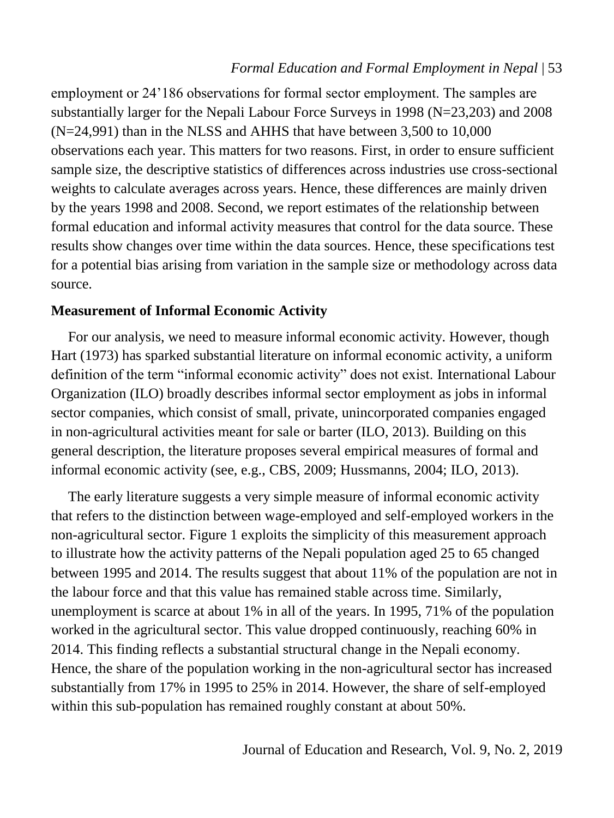employment or 24'186 observations for formal sector employment. The samples are substantially larger for the Nepali Labour Force Surveys in 1998 (N=23,203) and 2008 (N=24,991) than in the NLSS and AHHS that have between 3,500 to 10,000 observations each year. This matters for two reasons. First, in order to ensure sufficient sample size, the descriptive statistics of differences across industries use cross-sectional weights to calculate averages across years. Hence, these differences are mainly driven by the years 1998 and 2008. Second, we report estimates of the relationship between formal education and informal activity measures that control for the data source. These results show changes over time within the data sources. Hence, these specifications test for a potential bias arising from variation in the sample size or methodology across data source.

### **Measurement of Informal Economic Activity**

For our analysis, we need to measure informal economic activity. However, though Hart (1973) has sparked substantial literature on informal economic activity, a uniform definition of the term "informal economic activity" does not exist. International Labour Organization (ILO) broadly describes informal sector employment as jobs in informal sector companies, which consist of small, private, unincorporated companies engaged in non-agricultural activities meant for sale or barter (ILO, 2013). Building on this general description, the literature proposes several empirical measures of formal and informal economic activity (see, e.g., CBS, 2009; Hussmanns, 2004; ILO, 2013).

The early literature suggests a very simple measure of informal economic activity that refers to the distinction between wage-employed and self-employed workers in the non-agricultural sector. Figure 1 exploits the simplicity of this measurement approach to illustrate how the activity patterns of the Nepali population aged 25 to 65 changed between 1995 and 2014. The results suggest that about 11% of the population are not in the labour force and that this value has remained stable across time. Similarly, unemployment is scarce at about 1% in all of the years. In 1995, 71% of the population worked in the agricultural sector. This value dropped continuously, reaching 60% in 2014. This finding reflects a substantial structural change in the Nepali economy. Hence, the share of the population working in the non-agricultural sector has increased substantially from 17% in 1995 to 25% in 2014. However, the share of self-employed within this sub-population has remained roughly constant at about 50%.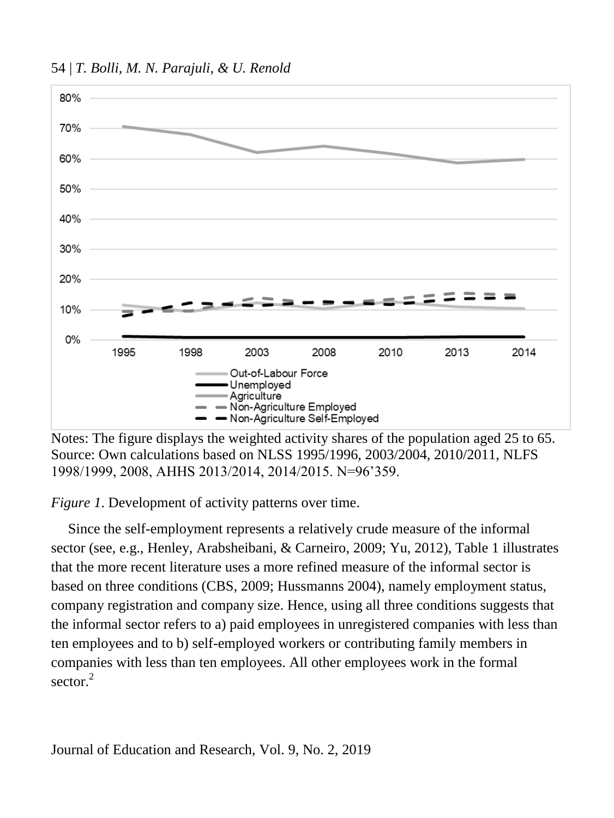54 | *T. Bolli, M. N. Parajuli, & U. Renold*



Notes: The figure displays the weighted activity shares of the population aged 25 to 65. Source: Own calculations based on NLSS 1995/1996, 2003/2004, 2010/2011, NLFS 1998/1999, 2008, AHHS 2013/2014, 2014/2015. N=96'359.

*Figure 1.* Development of activity patterns over time.

Since the self-employment represents a relatively crude measure of the informal sector (see, e.g., Henley, Arabsheibani, & Carneiro, 2009; Yu, 2012), Table 1 illustrates that the more recent literature uses a more refined measure of the informal sector is based on three conditions (CBS, 2009; Hussmanns 2004), namely employment status, company registration and company size. Hence, using all three conditions suggests that the informal sector refers to a) paid employees in unregistered companies with less than ten employees and to b) self-employed workers or contributing family members in companies with less than ten employees. All other employees work in the formal sector. 2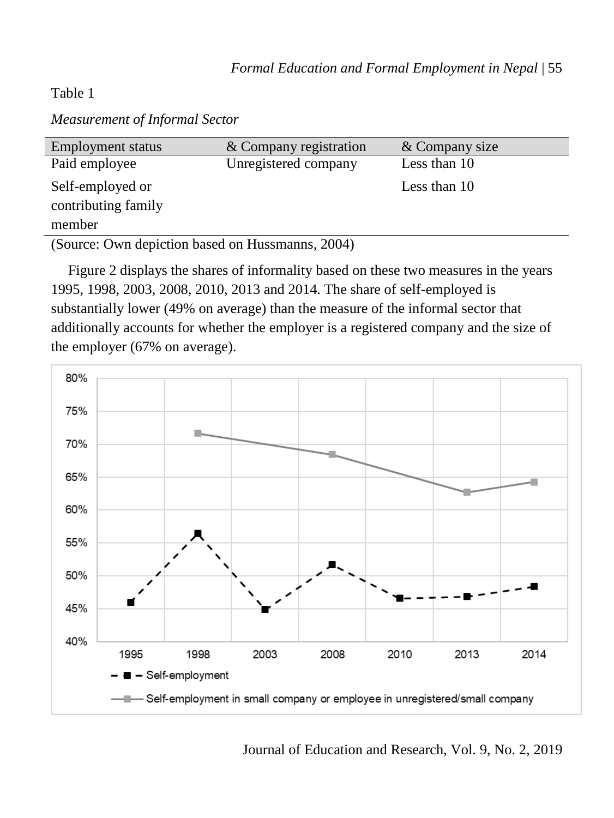# Table 1

*Measurement of Informal Sector*

| <b>Employment status</b>                          | & Company registration | & Company size |
|---------------------------------------------------|------------------------|----------------|
| Paid employee                                     | Unregistered company   | Less than 10   |
| Self-employed or<br>contributing family<br>member |                        | Less than 10   |
|                                                   |                        |                |

(Source: Own depiction based on Hussmanns, 2004)

Figure 2 displays the shares of informality based on these two measures in the years 1995, 1998, 2003, 2008, 2010, 2013 and 2014. The share of self-employed is substantially lower (49% on average) than the measure of the informal sector that additionally accounts for whether the employer is a registered company and the size of the employer (67% on average).

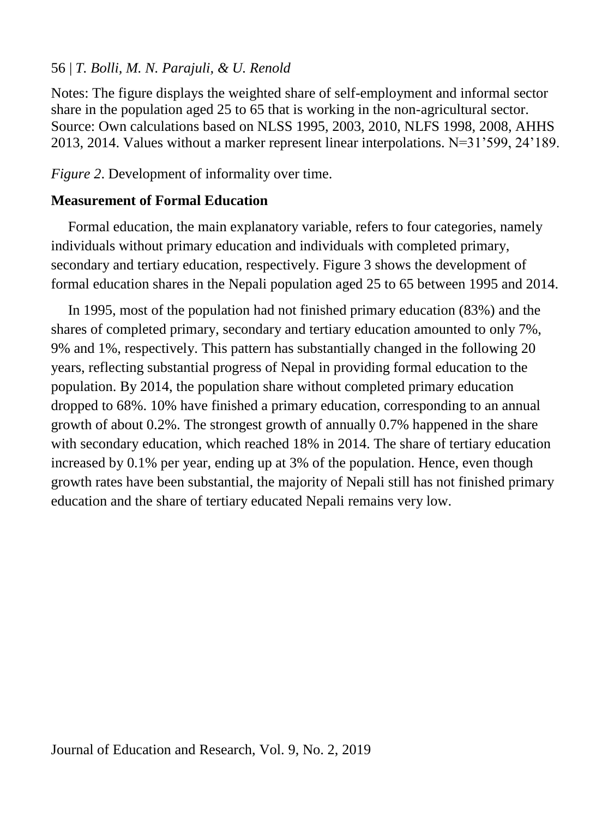Notes: The figure displays the weighted share of self-employment and informal sector share in the population aged 25 to 65 that is working in the non-agricultural sector. Source: Own calculations based on NLSS 1995, 2003, 2010, NLFS 1998, 2008, AHHS 2013, 2014. Values without a marker represent linear interpolations. N=31'599, 24'189.

*Figure 2*. Development of informality over time.

# **Measurement of Formal Education**

Formal education, the main explanatory variable, refers to four categories, namely individuals without primary education and individuals with completed primary, secondary and tertiary education, respectively. Figure 3 shows the development of formal education shares in the Nepali population aged 25 to 65 between 1995 and 2014.

In 1995, most of the population had not finished primary education (83%) and the shares of completed primary, secondary and tertiary education amounted to only 7%, 9% and 1%, respectively. This pattern has substantially changed in the following 20 years, reflecting substantial progress of Nepal in providing formal education to the population. By 2014, the population share without completed primary education dropped to 68%. 10% have finished a primary education, corresponding to an annual growth of about 0.2%. The strongest growth of annually 0.7% happened in the share with secondary education, which reached 18% in 2014. The share of tertiary education increased by 0.1% per year, ending up at 3% of the population. Hence, even though growth rates have been substantial, the majority of Nepali still has not finished primary education and the share of tertiary educated Nepali remains very low.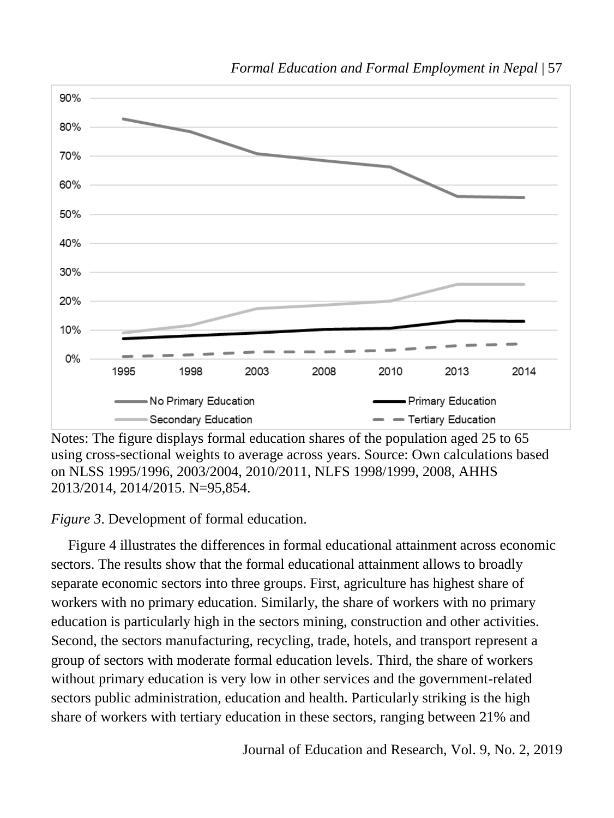

*Formal Education and Formal Employment in Nepal* | 57

Notes: The figure displays formal education shares of the population aged 25 to 65 using cross-sectional weights to average across years. Source: Own calculations based on NLSS 1995/1996, 2003/2004, 2010/2011, NLFS 1998/1999, 2008, AHHS 2013/2014, 2014/2015. N=95,854.

*Figure 3*. Development of formal education.

Figure 4 illustrates the differences in formal educational attainment across economic sectors. The results show that the formal educational attainment allows to broadly separate economic sectors into three groups. First, agriculture has highest share of workers with no primary education. Similarly, the share of workers with no primary education is particularly high in the sectors mining, construction and other activities. Second, the sectors manufacturing, recycling, trade, hotels, and transport represent a group of sectors with moderate formal education levels. Third, the share of workers without primary education is very low in other services and the government-related sectors public administration, education and health. Particularly striking is the high share of workers with tertiary education in these sectors, ranging between 21% and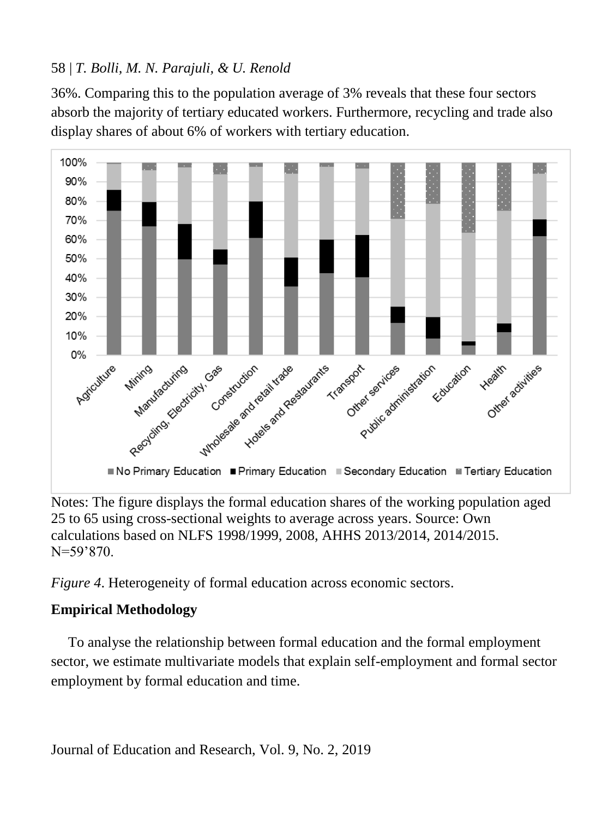36%. Comparing this to the population average of 3% reveals that these four sectors absorb the majority of tertiary educated workers. Furthermore, recycling and trade also display shares of about 6% of workers with tertiary education.



Notes: The figure displays the formal education shares of the working population aged 25 to 65 using cross-sectional weights to average across years. Source: Own calculations based on NLFS 1998/1999, 2008, AHHS 2013/2014, 2014/2015. N=59'870.

*Figure 4*. Heterogeneity of formal education across economic sectors.

# **Empirical Methodology**

To analyse the relationship between formal education and the formal employment sector, we estimate multivariate models that explain self-employment and formal sector employment by formal education and time.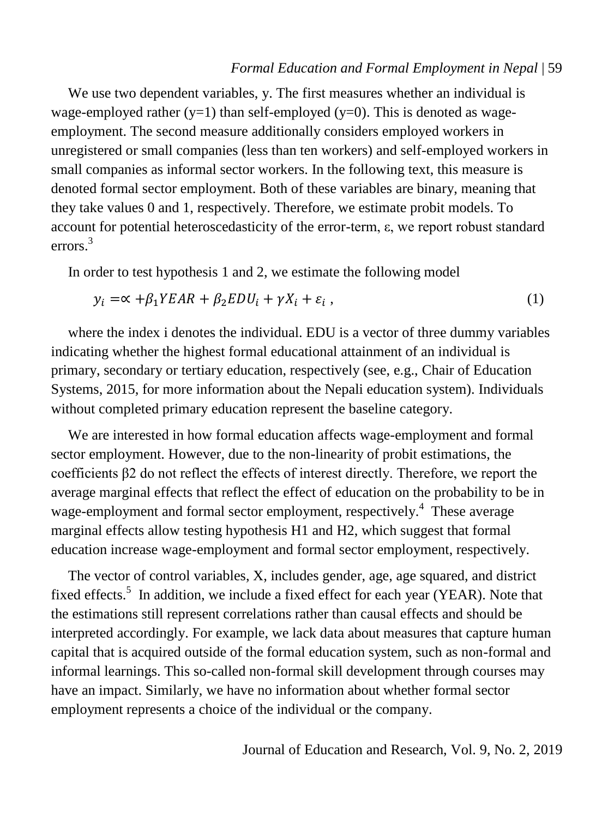We use two dependent variables, y. The first measures whether an individual is wage-employed rather  $(y=1)$  than self-employed  $(y=0)$ . This is denoted as wageemployment. The second measure additionally considers employed workers in unregistered or small companies (less than ten workers) and self-employed workers in small companies as informal sector workers. In the following text, this measure is denoted formal sector employment. Both of these variables are binary, meaning that they take values 0 and 1, respectively. Therefore, we estimate probit models. To account for potential heteroscedasticity of the error-term, ε, we report robust standard errors  $^3$ 

In order to test hypothesis 1 and 2, we estimate the following model

$$
y_i = \alpha + \beta_1 Y E A R + \beta_2 E D U_i + \gamma X_i + \varepsilon_i , \qquad (1)
$$

where the index i denotes the individual. EDU is a vector of three dummy variables indicating whether the highest formal educational attainment of an individual is primary, secondary or tertiary education, respectively (see, e.g., Chair of Education Systems, 2015, for more information about the Nepali education system). Individuals without completed primary education represent the baseline category.

We are interested in how formal education affects wage-employment and formal sector employment. However, due to the non-linearity of probit estimations, the coefficients β2 do not reflect the effects of interest directly. Therefore, we report the average marginal effects that reflect the effect of education on the probability to be in wage-employment and formal sector employment, respectively.<sup>4</sup> These average marginal effects allow testing hypothesis H1 and H2, which suggest that formal education increase wage-employment and formal sector employment, respectively.

The vector of control variables, X, includes gender, age, age squared, and district fixed effects.<sup>5</sup> In addition, we include a fixed effect for each year (YEAR). Note that the estimations still represent correlations rather than causal effects and should be interpreted accordingly. For example, we lack data about measures that capture human capital that is acquired outside of the formal education system, such as non-formal and informal learnings. This so-called non-formal skill development through courses may have an impact. Similarly, we have no information about whether formal sector employment represents a choice of the individual or the company.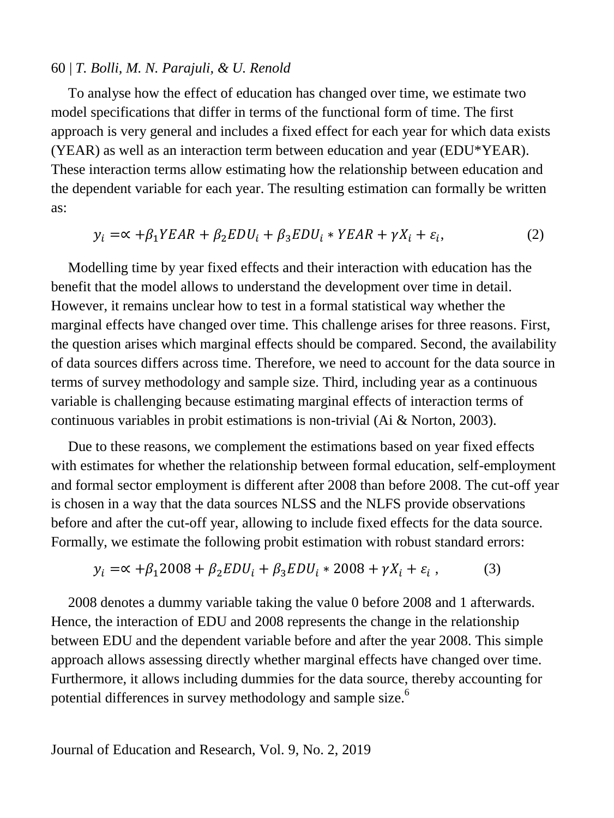To analyse how the effect of education has changed over time, we estimate two model specifications that differ in terms of the functional form of time. The first approach is very general and includes a fixed effect for each year for which data exists (YEAR) as well as an interaction term between education and year (EDU\*YEAR). These interaction terms allow estimating how the relationship between education and the dependent variable for each year. The resulting estimation can formally be written as:

$$
y_i = \alpha + \beta_1 Y EAR + \beta_2 EDU_i + \beta_3 EDU_i * Y EAR + \gamma X_i + \varepsilon_i,
$$
\n(2)

Modelling time by year fixed effects and their interaction with education has the benefit that the model allows to understand the development over time in detail. However, it remains unclear how to test in a formal statistical way whether the marginal effects have changed over time. This challenge arises for three reasons. First, the question arises which marginal effects should be compared. Second, the availability of data sources differs across time. Therefore, we need to account for the data source in terms of survey methodology and sample size. Third, including year as a continuous variable is challenging because estimating marginal effects of interaction terms of continuous variables in probit estimations is non-trivial (Ai & Norton, 2003).

Due to these reasons, we complement the estimations based on year fixed effects with estimates for whether the relationship between formal education, self-employment and formal sector employment is different after 2008 than before 2008. The cut-off year is chosen in a way that the data sources NLSS and the NLFS provide observations before and after the cut-off year, allowing to include fixed effects for the data source. Formally, we estimate the following probit estimation with robust standard errors:

$$
y_i = \alpha + \beta_1 2008 + \beta_2 EDU_i + \beta_3 EDU_i * 2008 + \gamma X_i + \varepsilon_i ,
$$
 (3)

2008 denotes a dummy variable taking the value 0 before 2008 and 1 afterwards. Hence, the interaction of EDU and 2008 represents the change in the relationship between EDU and the dependent variable before and after the year 2008. This simple approach allows assessing directly whether marginal effects have changed over time. Furthermore, it allows including dummies for the data source, thereby accounting for potential differences in survey methodology and sample size.<sup>6</sup>

Journal of Education and Research, Vol. 9, No. 2, 2019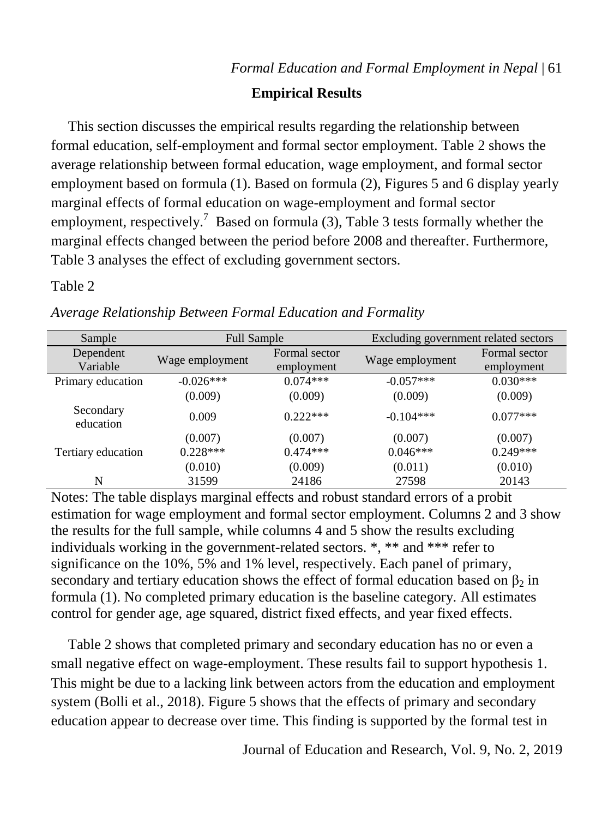# **Empirical Results**

This section discusses the empirical results regarding the relationship between formal education, self-employment and formal sector employment. Table 2 shows the average relationship between formal education, wage employment, and formal sector employment based on formula (1). Based on formula (2), Figures 5 and 6 display yearly marginal effects of formal education on wage-employment and formal sector employment, respectively.<sup>7</sup> Based on formula (3), Table 3 tests formally whether the marginal effects changed between the period before 2008 and thereafter. Furthermore, Table 3 analyses the effect of excluding government sectors.

# Table 2

| Sample                 | <b>Full Sample</b> |                             | Excluding government related sectors |                             |  |
|------------------------|--------------------|-----------------------------|--------------------------------------|-----------------------------|--|
| Dependent<br>Variable  | Wage employment    | Formal sector<br>employment | Wage employment                      | Formal sector<br>employment |  |
| Primary education      | $-0.026***$        | $0.074***$                  | $-0.057***$                          | $0.030***$                  |  |
|                        | (0.009)            | (0.009)                     | (0.009)                              | (0.009)                     |  |
| Secondary<br>education | 0.009              | $0.222***$                  | $-0.104***$                          | $0.077***$                  |  |
|                        | (0.007)            | (0.007)                     | (0.007)                              | (0.007)                     |  |
| Tertiary education     | $0.228***$         | $0.474***$                  | $0.046***$                           | $0.249***$                  |  |
|                        | (0.010)            | (0.009)                     | (0.011)                              | (0.010)                     |  |
| N                      | 31599              | 24186                       | 27598                                | 20143                       |  |

*Average Relationship Between Formal Education and Formality*

Notes: The table displays marginal effects and robust standard errors of a probit estimation for wage employment and formal sector employment. Columns 2 and 3 show the results for the full sample, while columns 4 and 5 show the results excluding individuals working in the government-related sectors. \*, \*\* and \*\*\* refer to significance on the 10%, 5% and 1% level, respectively. Each panel of primary, secondary and tertiary education shows the effect of formal education based on  $\beta_2$  in formula (1). No completed primary education is the baseline category. All estimates control for gender age, age squared, district fixed effects, and year fixed effects.

Table 2 shows that completed primary and secondary education has no or even a small negative effect on wage-employment. These results fail to support hypothesis 1. This might be due to a lacking link between actors from the education and employment system (Bolli et al., 2018). Figure 5 shows that the effects of primary and secondary education appear to decrease over time. This finding is supported by the formal test in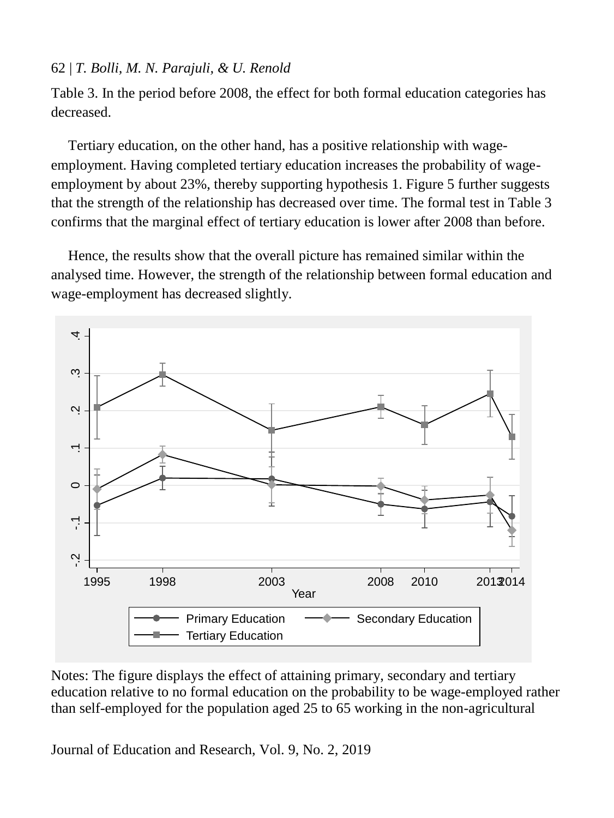Table 3. In the period before 2008, the effect for both formal education categories has decreased.

Tertiary education, on the other hand, has a positive relationship with wageemployment. Having completed tertiary education increases the probability of wageemployment by about 23%, thereby supporting hypothesis 1. Figure 5 further suggests that the strength of the relationship has decreased over time. The formal test in Table 3 confirms that the marginal effect of tertiary education is lower after 2008 than before.

Hence, the results show that the overall picture has remained similar within the analysed time. However, the strength of the relationship between formal education and wage-employment has decreased slightly.



Notes: The figure displays the effect of attaining primary, secondary and tertiary education relative to no formal education on the probability to be wage-employed rather than self-employed for the population aged 25 to 65 working in the non-agricultural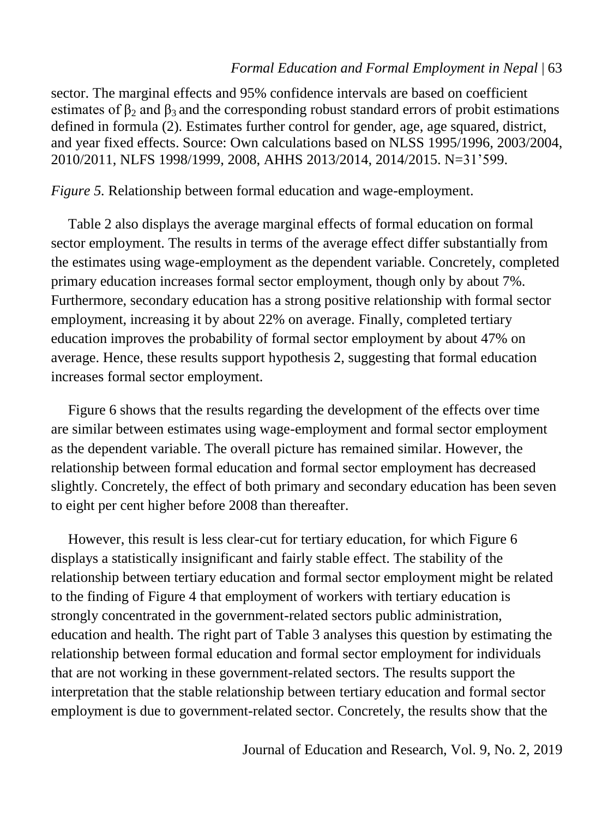sector. The marginal effects and 95% confidence intervals are based on coefficient estimates of  $\beta_2$  and  $\beta_3$  and the corresponding robust standard errors of probit estimations defined in formula (2). Estimates further control for gender, age, age squared, district, and year fixed effects. Source: Own calculations based on NLSS 1995/1996, 2003/2004, 2010/2011, NLFS 1998/1999, 2008, AHHS 2013/2014, 2014/2015. N=31'599.

*Figure 5.* Relationship between formal education and wage-employment.

Table 2 also displays the average marginal effects of formal education on formal sector employment. The results in terms of the average effect differ substantially from the estimates using wage-employment as the dependent variable. Concretely, completed primary education increases formal sector employment, though only by about 7%. Furthermore, secondary education has a strong positive relationship with formal sector employment, increasing it by about 22% on average. Finally, completed tertiary education improves the probability of formal sector employment by about 47% on average. Hence, these results support hypothesis 2, suggesting that formal education increases formal sector employment.

Figure 6 shows that the results regarding the development of the effects over time are similar between estimates using wage-employment and formal sector employment as the dependent variable. The overall picture has remained similar. However, the relationship between formal education and formal sector employment has decreased slightly. Concretely, the effect of both primary and secondary education has been seven to eight per cent higher before 2008 than thereafter.

However, this result is less clear-cut for tertiary education, for which Figure 6 displays a statistically insignificant and fairly stable effect. The stability of the relationship between tertiary education and formal sector employment might be related to the finding of Figure 4 that employment of workers with tertiary education is strongly concentrated in the government-related sectors public administration, education and health. The right part of Table 3 analyses this question by estimating the relationship between formal education and formal sector employment for individuals that are not working in these government-related sectors. The results support the interpretation that the stable relationship between tertiary education and formal sector employment is due to government-related sector. Concretely, the results show that the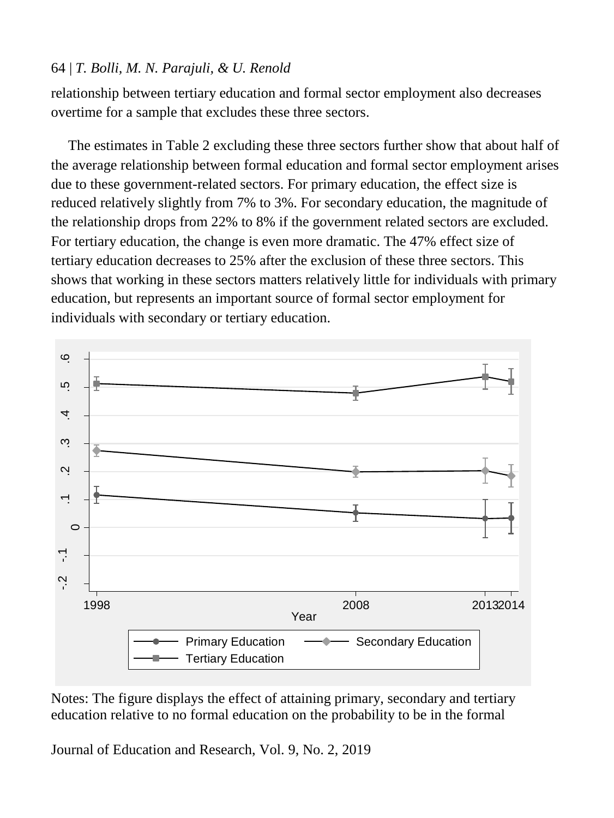relationship between tertiary education and formal sector employment also decreases overtime for a sample that excludes these three sectors.

The estimates in Table 2 excluding these three sectors further show that about half of the average relationship between formal education and formal sector employment arises due to these government-related sectors. For primary education, the effect size is reduced relatively slightly from 7% to 3%. For secondary education, the magnitude of the relationship drops from 22% to 8% if the government related sectors are excluded. For tertiary education, the change is even more dramatic. The 47% effect size of tertiary education decreases to 25% after the exclusion of these three sectors. This shows that working in these sectors matters relatively little for individuals with primary education, but represents an important source of formal sector employment for individuals with secondary or tertiary education.



Notes: The figure displays the effect of attaining primary, secondary and tertiary education relative to no formal education on the probability to be in the formal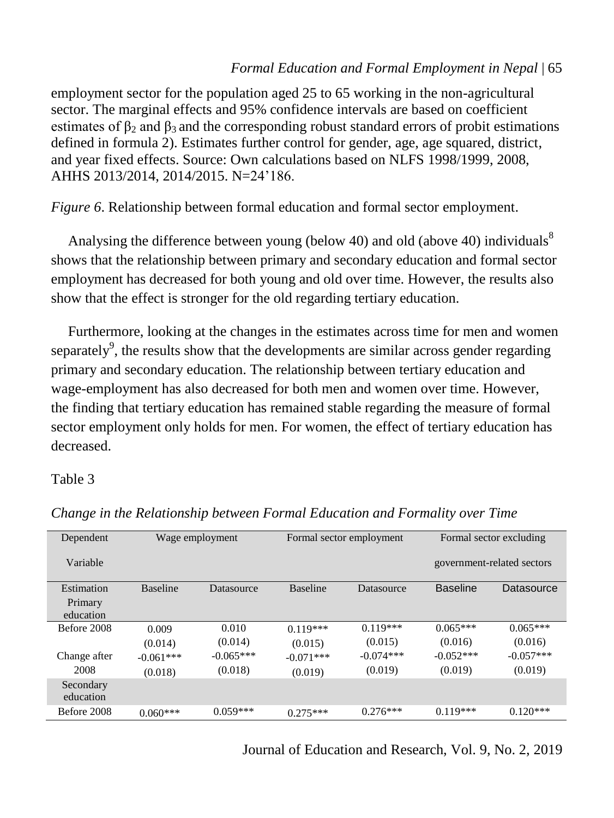employment sector for the population aged 25 to 65 working in the non-agricultural sector. The marginal effects and 95% confidence intervals are based on coefficient estimates of  $\beta_2$  and  $\beta_3$  and the corresponding robust standard errors of probit estimations defined in formula 2). Estimates further control for gender, age, age squared, district, and year fixed effects. Source: Own calculations based on NLFS 1998/1999, 2008, AHHS 2013/2014, 2014/2015. N=24'186.

*Figure 6*. Relationship between formal education and formal sector employment.

Analysing the difference between young (below 40) and old (above 40) individuals<sup>8</sup> shows that the relationship between primary and secondary education and formal sector employment has decreased for both young and old over time. However, the results also show that the effect is stronger for the old regarding tertiary education.

Furthermore, looking at the changes in the estimates across time for men and women separately<sup>9</sup>, the results show that the developments are similar across gender regarding primary and secondary education. The relationship between tertiary education and wage-employment has also decreased for both men and women over time. However, the finding that tertiary education has remained stable regarding the measure of formal sector employment only holds for men. For women, the effect of tertiary education has decreased.

### Table 3

| Dependent              |                 | Wage employment<br>Formal sector employment |                 |             | Formal sector excluding |                            |
|------------------------|-----------------|---------------------------------------------|-----------------|-------------|-------------------------|----------------------------|
| Variable               |                 |                                             |                 |             |                         | government-related sectors |
| Estimation             | <b>Baseline</b> | Datasource                                  | <b>Baseline</b> | Datasource  | <b>Baseline</b>         | Datasource                 |
| Primary<br>education   |                 |                                             |                 |             |                         |                            |
| Before 2008            | 0.009           | 0.010                                       | $0.119***$      | $0.119***$  | $0.065***$              | $0.065***$                 |
|                        | (0.014)         | (0.014)                                     | (0.015)         | (0.015)     | (0.016)                 | (0.016)                    |
| Change after           | $-0.061***$     | $-0.065***$                                 | $-0.071***$     | $-0.074***$ | $-0.052***$             | $-0.057***$                |
| 2008                   | (0.018)         | (0.018)                                     | (0.019)         | (0.019)     | (0.019)                 | (0.019)                    |
| Secondary<br>education |                 |                                             |                 |             |                         |                            |
| Before 2008            | $0.060***$      | $0.059***$                                  | $0.275***$      | $0.276***$  | $0.119***$              | $0.120***$                 |

*Change in the Relationship between Formal Education and Formality over Time*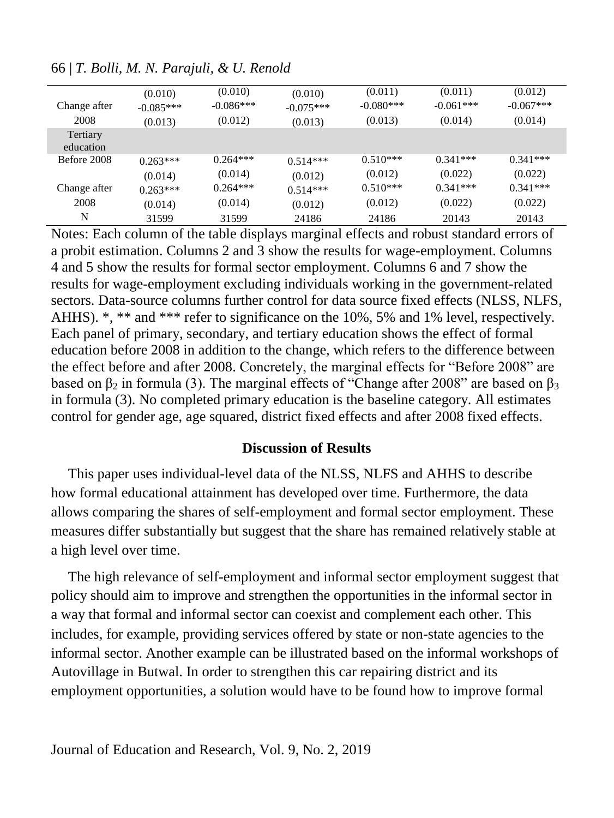| Change after<br>2008  | (0.010)<br>$-0.085***$<br>(0.013) | (0.010)<br>$-0.086***$<br>(0.012) | (0.010)<br>$-0.075***$<br>(0.013) | (0.011)<br>$-0.080***$<br>(0.013) | (0.011)<br>$-0.061***$<br>(0.014) | (0.012)<br>$-0.067***$<br>(0.014) |
|-----------------------|-----------------------------------|-----------------------------------|-----------------------------------|-----------------------------------|-----------------------------------|-----------------------------------|
| Tertiary<br>education |                                   |                                   |                                   |                                   |                                   |                                   |
| Before 2008           | $0.263***$<br>(0.014)             | $0.264***$<br>(0.014)             | $0.514***$<br>(0.012)             | $0.510***$<br>(0.012)             | $0.341***$<br>(0.022)             | $0.341***$<br>(0.022)             |
| Change after          | $0.263***$                        | $0.264***$                        | $0.514***$                        | $0.510***$                        | $0.341***$                        | $0.341***$                        |
| 2008                  | (0.014)                           | (0.014)                           | (0.012)                           | (0.012)                           | (0.022)                           | (0.022)                           |
| N                     | 31599                             | 31599                             | 24186                             | 24186                             | 20143                             | 20143                             |
|                       |                                   |                                   |                                   |                                   |                                   |                                   |

66 | *T. Bolli, M. N. Parajuli, & U. Renold*

Notes: Each column of the table displays marginal effects and robust standard errors of a probit estimation. Columns 2 and 3 show the results for wage-employment. Columns 4 and 5 show the results for formal sector employment. Columns 6 and 7 show the results for wage-employment excluding individuals working in the government-related sectors. Data-source columns further control for data source fixed effects (NLSS, NLFS, AHHS). \*, \*\* and \*\*\* refer to significance on the 10%, 5% and 1% level, respectively. Each panel of primary, secondary, and tertiary education shows the effect of formal education before 2008 in addition to the change, which refers to the difference between the effect before and after 2008. Concretely, the marginal effects for "Before 2008" are based on  $\beta_2$  in formula (3). The marginal effects of "Change after 2008" are based on  $\beta_3$ in formula (3). No completed primary education is the baseline category. All estimates control for gender age, age squared, district fixed effects and after 2008 fixed effects.

### **Discussion of Results**

This paper uses individual-level data of the NLSS, NLFS and AHHS to describe how formal educational attainment has developed over time. Furthermore, the data allows comparing the shares of self-employment and formal sector employment. These measures differ substantially but suggest that the share has remained relatively stable at a high level over time.

The high relevance of self-employment and informal sector employment suggest that policy should aim to improve and strengthen the opportunities in the informal sector in a way that formal and informal sector can coexist and complement each other. This includes, for example, providing services offered by state or non-state agencies to the informal sector. Another example can be illustrated based on the informal workshops of Autovillage in Butwal. In order to strengthen this car repairing district and its employment opportunities, a solution would have to be found how to improve formal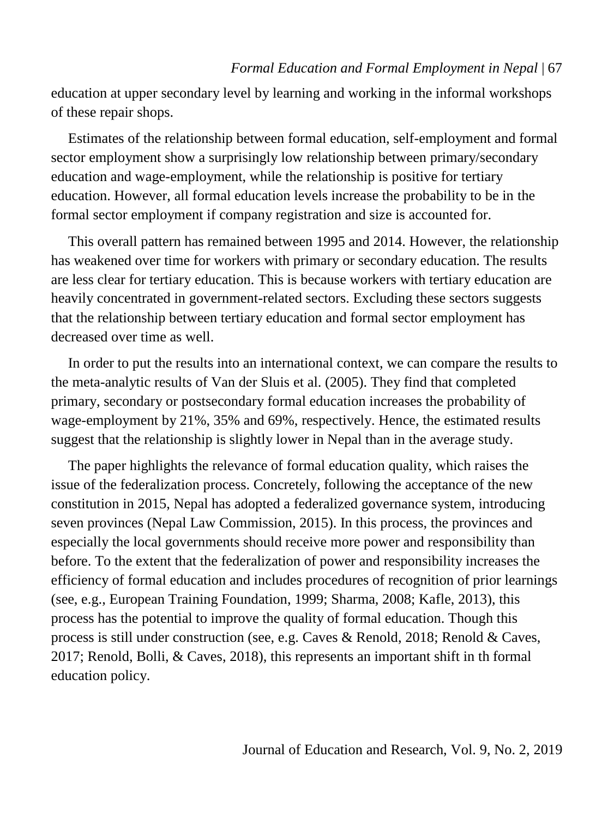education at upper secondary level by learning and working in the informal workshops of these repair shops.

Estimates of the relationship between formal education, self-employment and formal sector employment show a surprisingly low relationship between primary/secondary education and wage-employment, while the relationship is positive for tertiary education. However, all formal education levels increase the probability to be in the formal sector employment if company registration and size is accounted for.

This overall pattern has remained between 1995 and 2014. However, the relationship has weakened over time for workers with primary or secondary education. The results are less clear for tertiary education. This is because workers with tertiary education are heavily concentrated in government-related sectors. Excluding these sectors suggests that the relationship between tertiary education and formal sector employment has decreased over time as well.

In order to put the results into an international context, we can compare the results to the meta-analytic results of Van der Sluis et al. (2005). They find that completed primary, secondary or postsecondary formal education increases the probability of wage-employment by 21%, 35% and 69%, respectively. Hence, the estimated results suggest that the relationship is slightly lower in Nepal than in the average study.

The paper highlights the relevance of formal education quality, which raises the issue of the federalization process. Concretely, following the acceptance of the new constitution in 2015, Nepal has adopted a federalized governance system, introducing seven provinces (Nepal Law Commission, 2015). In this process, the provinces and especially the local governments should receive more power and responsibility than before. To the extent that the federalization of power and responsibility increases the efficiency of formal education and includes procedures of recognition of prior learnings (see, e.g., European Training Foundation, 1999; Sharma, 2008; Kafle, 2013), this process has the potential to improve the quality of formal education. Though this process is still under construction (see, e.g. Caves & Renold, 2018; Renold & Caves, 2017; Renold, Bolli, & Caves, 2018), this represents an important shift in th formal education policy.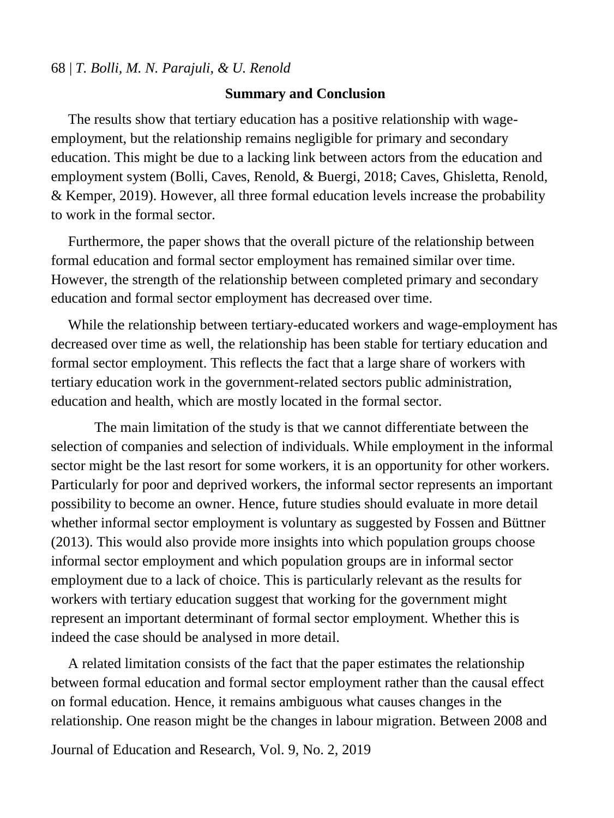#### **Summary and Conclusion**

The results show that tertiary education has a positive relationship with wageemployment, but the relationship remains negligible for primary and secondary education. This might be due to a lacking link between actors from the education and employment system (Bolli, Caves, Renold, & Buergi, 2018; Caves, Ghisletta, Renold, & Kemper, 2019). However, all three formal education levels increase the probability to work in the formal sector.

Furthermore, the paper shows that the overall picture of the relationship between formal education and formal sector employment has remained similar over time. However, the strength of the relationship between completed primary and secondary education and formal sector employment has decreased over time.

While the relationship between tertiary-educated workers and wage-employment has decreased over time as well, the relationship has been stable for tertiary education and formal sector employment. This reflects the fact that a large share of workers with tertiary education work in the government-related sectors public administration, education and health, which are mostly located in the formal sector.

The main limitation of the study is that we cannot differentiate between the selection of companies and selection of individuals. While employment in the informal sector might be the last resort for some workers, it is an opportunity for other workers. Particularly for poor and deprived workers, the informal sector represents an important possibility to become an owner. Hence, future studies should evaluate in more detail whether informal sector employment is voluntary as suggested by Fossen and Büttner (2013). This would also provide more insights into which population groups choose informal sector employment and which population groups are in informal sector employment due to a lack of choice. This is particularly relevant as the results for workers with tertiary education suggest that working for the government might represent an important determinant of formal sector employment. Whether this is indeed the case should be analysed in more detail.

A related limitation consists of the fact that the paper estimates the relationship between formal education and formal sector employment rather than the causal effect on formal education. Hence, it remains ambiguous what causes changes in the relationship. One reason might be the changes in labour migration. Between 2008 and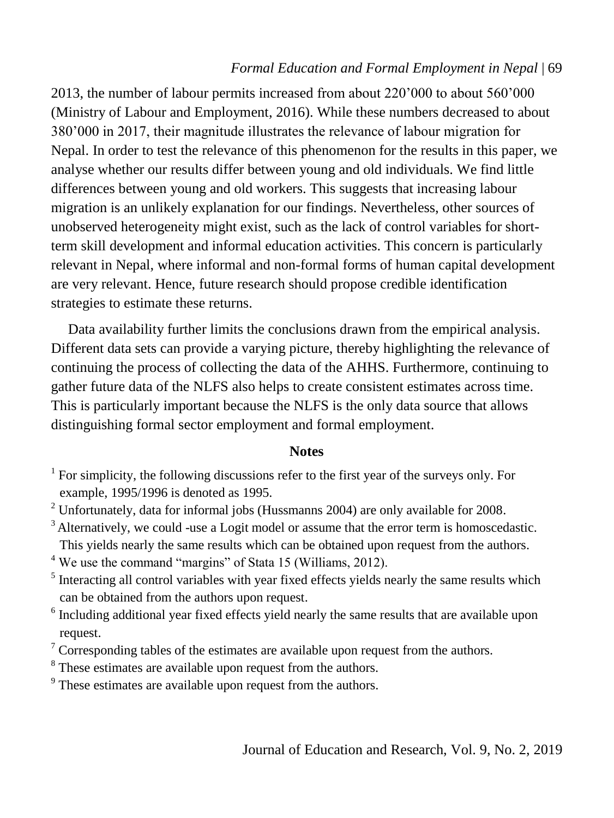2013, the number of labour permits increased from about 220'000 to about 560'000 (Ministry of Labour and Employment, 2016). While these numbers decreased to about 380'000 in 2017, their magnitude illustrates the relevance of labour migration for Nepal. In order to test the relevance of this phenomenon for the results in this paper, we analyse whether our results differ between young and old individuals. We find little differences between young and old workers. This suggests that increasing labour migration is an unlikely explanation for our findings. Nevertheless, other sources of unobserved heterogeneity might exist, such as the lack of control variables for shortterm skill development and informal education activities. This concern is particularly relevant in Nepal, where informal and non-formal forms of human capital development are very relevant. Hence, future research should propose credible identification strategies to estimate these returns.

Data availability further limits the conclusions drawn from the empirical analysis. Different data sets can provide a varying picture, thereby highlighting the relevance of continuing the process of collecting the data of the AHHS. Furthermore, continuing to gather future data of the NLFS also helps to create consistent estimates across time. This is particularly important because the NLFS is the only data source that allows distinguishing formal sector employment and formal employment.

#### **Notes**

<sup>3</sup> Alternatively, we could -use a Logit model or assume that the error term is homoscedastic. This yields nearly the same results which can be obtained upon request from the authors.

<sup>4</sup> We use the command "margins" of Stata 15 (Williams, 2012).

- <sup>5</sup> Interacting all control variables with year fixed effects yields nearly the same results which can be obtained from the authors upon request.
- <sup>6</sup> Including additional year fixed effects yield nearly the same results that are available upon request.
- $7$  Corresponding tables of the estimates are available upon request from the authors.
- <sup>8</sup> These estimates are available upon request from the authors.

 $9<sup>9</sup>$  These estimates are available upon request from the authors.

 $<sup>1</sup>$  For simplicity, the following discussions refer to the first year of the surveys only. For</sup> example, 1995/1996 is denoted as 1995.

<sup>2</sup> Unfortunately, data for informal jobs (Hussmanns 2004) are only available for 2008.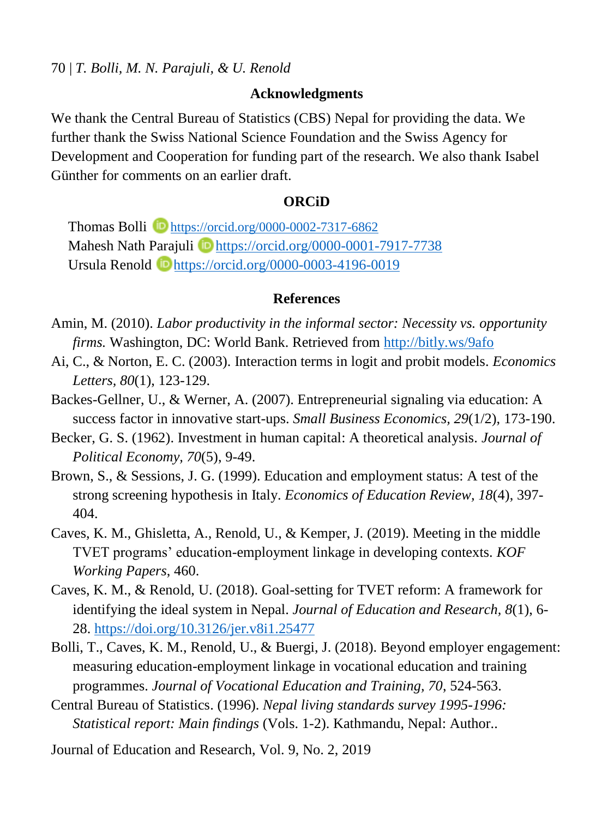#### **Acknowledgments**

We thank the Central Bureau of Statistics (CBS) Nepal for providing the data. We further thank the Swiss National Science Foundation and the Swiss Agency for Development and Cooperation for funding part of the research. We also thank Isabel Günther for comments on an earlier draft.

## **ORCiD**

Thomas Bolli **D** <https://orcid.org/0000-0002-7317-6862> Mahesh Nath Parajuli **iD** <https://orcid.org/0000-0001-7917-7738> Ursula Renold D<https://orcid.org/0000-0003-4196-0019>

#### **References**

- Amin, M. (2010). *Labor productivity in the informal sector: Necessity vs. opportunity firms.* Washington, DC: World Bank. Retrieved from<http://bitly.ws/9afo>
- Ai, C., & Norton, E. C. (2003). Interaction terms in logit and probit models. *Economics Letters, 80*(1), 123-129.
- Backes-Gellner, U., & Werner, A. (2007). Entrepreneurial signaling via education: A success factor in innovative start-ups. *Small Business Economics, 29*(1/2), 173-190.
- Becker, G. S. (1962). Investment in human capital: A theoretical analysis. *Journal of Political Economy, 70*(5), 9-49.
- Brown, S., & Sessions, J. G. (1999). Education and employment status: A test of the strong screening hypothesis in Italy. *Economics of Education Review, 18*(4), 397- 404.
- Caves, K. M., Ghisletta, A., Renold, U., & Kemper, J. (2019). Meeting in the middle TVET programs' education-employment linkage in developing contexts. *KOF Working Papers*, 460.
- Caves, K. M., & Renold, U. (2018). Goal-setting for TVET reform: A framework for identifying the ideal system in Nepal. *Journal of Education and Research, 8*(1), 6- 28.<https://doi.org/10.3126/jer.v8i1.25477>
- Bolli, T., Caves, K. M., Renold, U., & Buergi, J. (2018). Beyond employer engagement: measuring education-employment linkage in vocational education and training programmes. *Journal of Vocational Education and Training, 70*, 524-563.
- Central Bureau of Statistics. (1996). *Nepal living standards survey 1995-1996: Statistical report: Main findings* (Vols. 1-2). Kathmandu, Nepal: Author..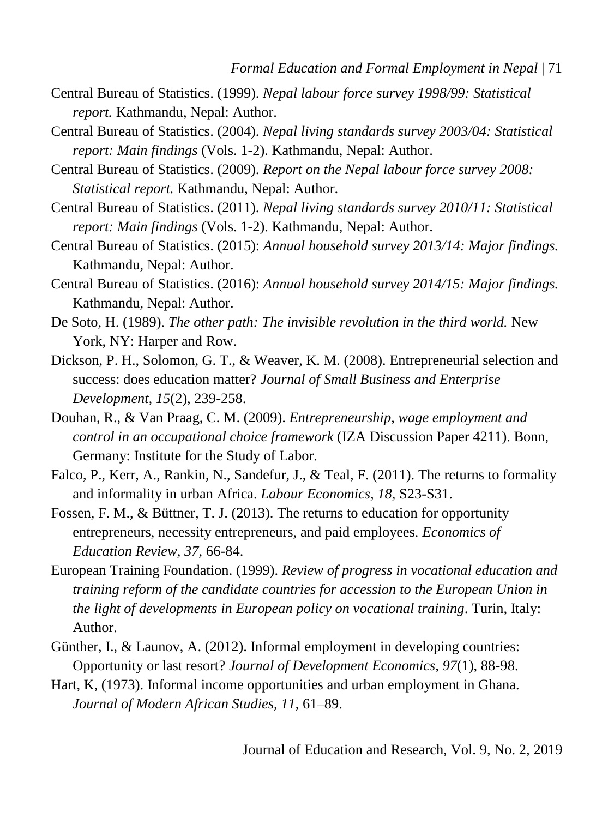- Central Bureau of Statistics. (1999). *Nepal labour force survey 1998/99: Statistical report.* Kathmandu, Nepal: Author.
- Central Bureau of Statistics. (2004). *Nepal living standards survey 2003/04: Statistical report: Main findings* (Vols. 1-2). Kathmandu, Nepal: Author.
- Central Bureau of Statistics. (2009). *Report on the Nepal labour force survey 2008: Statistical report.* Kathmandu, Nepal: Author.
- Central Bureau of Statistics. (2011). *Nepal living standards survey 2010/11: Statistical report: Main findings* (Vols. 1-2). Kathmandu, Nepal: Author.
- Central Bureau of Statistics. (2015): *Annual household survey 2013/14: Major findings.* Kathmandu, Nepal: Author.
- Central Bureau of Statistics. (2016): *Annual household survey 2014/15: Major findings.* Kathmandu, Nepal: Author.
- De Soto, H. (1989). *The other path: The invisible revolution in the third world.* New York, NY: Harper and Row.
- Dickson, P. H., Solomon, G. T., & Weaver, K. M. (2008). Entrepreneurial selection and success: does education matter? *Journal of Small Business and Enterprise Development, 15*(2), 239-258.
- Douhan, R., & Van Praag, C. M. (2009). *Entrepreneurship, wage employment and control in an occupational choice framework* (IZA Discussion Paper 4211). Bonn, Germany: Institute for the Study of Labor.
- Falco, P., Kerr, A., Rankin, N., Sandefur, J., & Teal, F. (2011). The returns to formality and informality in urban Africa. *Labour Economics, 18*, S23-S31.
- Fossen, F. M., & Büttner, T. J. (2013). The returns to education for opportunity entrepreneurs, necessity entrepreneurs, and paid employees. *Economics of Education Review, 37,* 66-84.
- European Training Foundation. (1999). *Review of progress in vocational education and training reform of the candidate countries for accession to the European Union in the light of developments in European policy on vocational training*. Turin, Italy: Author.
- Günther, I., & Launov, A. (2012). Informal employment in developing countries: Opportunity or last resort? *Journal of Development Economics, 97*(1), 88-98.
- Hart, K, (1973). Informal income opportunities and urban employment in Ghana. *Journal of Modern African Studies, 11*, 61–89.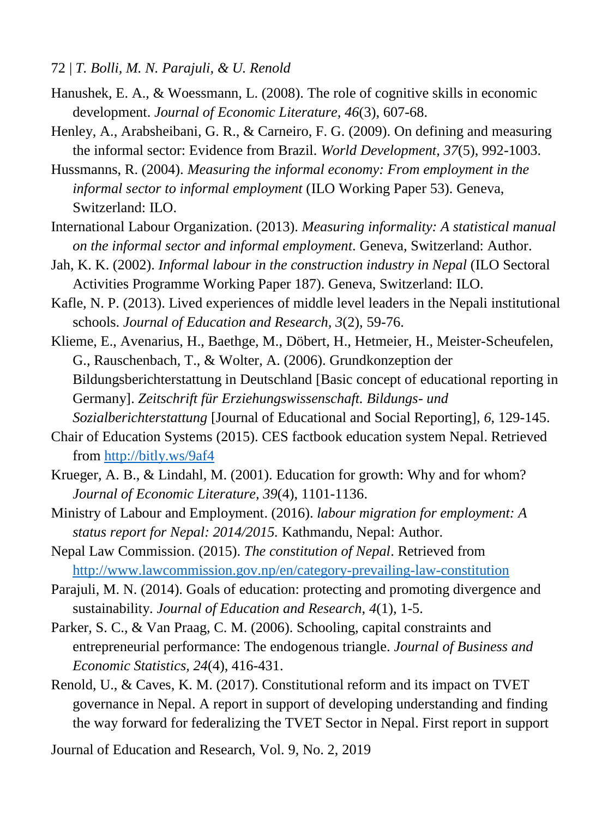72 | *T. Bolli, M. N. Parajuli, & U. Renold*

- Hanushek, E. A., & Woessmann, L. (2008). The role of cognitive skills in economic development. *Journal of Economic Literature, 46*(3), 607-68.
- Henley, A., Arabsheibani, G. R., & Carneiro, F. G. (2009). On defining and measuring the informal sector: Evidence from Brazil. *World Development, 37*(5), 992-1003.
- Hussmanns, R. (2004). *Measuring the informal economy: From employment in the informal sector to informal employment* (ILO Working Paper 53). Geneva, Switzerland: ILO.
- International Labour Organization. (2013). *Measuring informality: A statistical manual on the informal sector and informal employment*. Geneva, Switzerland: Author.
- Jah, K. K. (2002). *Informal labour in the construction industry in Nepal* (ILO Sectoral Activities Programme Working Paper 187). Geneva, Switzerland: ILO.
- Kafle, N. P. (2013). Lived experiences of middle level leaders in the Nepali institutional schools. *Journal of Education and Research, 3*(2), 59-76.
- Klieme, E., Avenarius, H., Baethge, M., Döbert, H., Hetmeier, H., Meister-Scheufelen, G., Rauschenbach, T., & Wolter, A. (2006). Grundkonzeption der Bildungsberichterstattung in Deutschland [Basic concept of educational reporting in Germany]. *Zeitschrift für Erziehungswissenschaft. Bildungs- und Sozialberichterstattung* [Journal of Educational and Social Reporting], *6*, 129-145.
- Chair of Education Systems (2015). CES factbook education system Nepal. Retrieved from<http://bitly.ws/9af4>
- Krueger, A. B., & Lindahl, M. (2001). Education for growth: Why and for whom? *Journal of Economic Literature, 39*(4), 1101-1136.
- Ministry of Labour and Employment. (2016). *labour migration for employment: A status report for Nepal: 2014/2015.* Kathmandu, Nepal: Author.
- Nepal Law Commission. (2015). *The constitution of Nepal*. Retrieved from <http://www.lawcommission.gov.np/en/category-prevailing-law-constitution>
- Parajuli, M. N. (2014). Goals of education: protecting and promoting divergence and sustainability. *Journal of Education and Research*, *4*(1), 1-5.
- Parker, S. C., & Van Praag, C. M. (2006). Schooling, capital constraints and entrepreneurial performance: The endogenous triangle. *Journal of Business and Economic Statistics, 24*(4), 416-431.
- Renold, U., & Caves, K. M. (2017). Constitutional reform and its impact on TVET governance in Nepal. A report in support of developing understanding and finding the way forward for federalizing the TVET Sector in Nepal. First report in support
- Journal of Education and Research, Vol. 9, No. 2, 2019